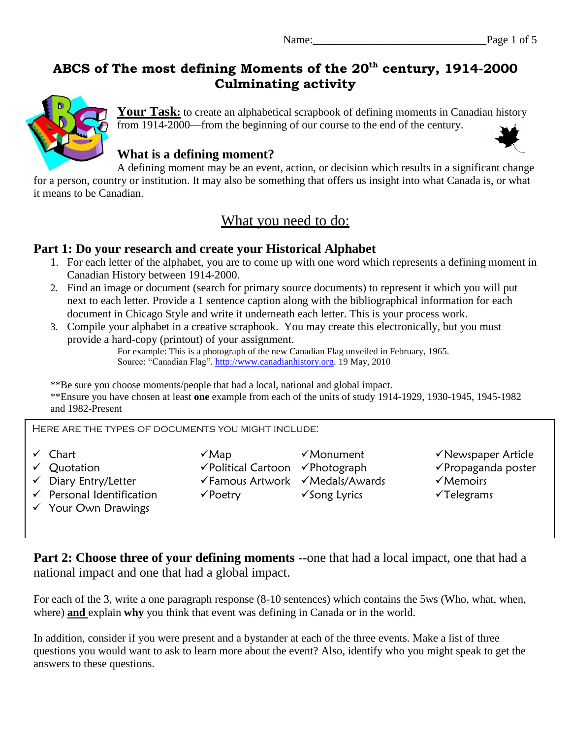## **ABCS of The most defining Moments of the 20th century, 1914-2000 Culminating activity**



Your Task: to create an alphabetical scrapbook of defining moments in Canadian history from 1914-2000—from the beginning of our course to the end of the century.

### **What is a defining moment?**



A defining moment may be an event, action, or decision which results in a significant change for a person, country or institution. It may also be something that offers us insight into what Canada is, or what it means to be Canadian.

## What you need to do:

#### **Part 1: Do your research and create your Historical Alphabet**

- 1. For each letter of the alphabet, you are to come up with one word which represents a defining moment in Canadian History between 1914-2000.
- 2. Find an image or document (search for primary source documents) to represent it which you will put next to each letter. Provide a 1 sentence caption along with the bibliographical information for each document in Chicago Style and write it underneath each letter. This is your process work.
- 3. Compile your alphabet in a creative scrapbook. You may create this electronically, but you must provide a hard-copy (printout) of your assignment.

For example: This is a photograph of the new Canadian Flag unveiled in February, 1965. Source: "Canadian Flag". [http://www.canadianhistory.org.](http://www.canadianhistory.org/) 19 May, 2010

\*\*Be sure you choose moments/people that had a local, national and global impact.

\*\*Ensure you have chosen at least **one** example from each of the units of study 1914-1929, 1930-1945, 1945-1982 and 1982-Present

Here are the types of documents you might include:

- 
- 
- 
- v Personal Identification v Poetry v Song Lyrics v Telegrams
- Your Own Drawings

 $\checkmark$  Diary Entry/Letter  $\checkmark$  Famous Artwork  $\checkmark$  Medals/Awards  $\checkmark$  Memoirs

- V Chart Monument Monument V Newspaper Article
- Quotation Political Cartoon Photograph Propaganda poster
	-
	-

**Part 2: Choose three of your defining moments --**one that had a local impact, one that had a national impact and one that had a global impact.

For each of the 3, write a one paragraph response (8-10 sentences) which contains the 5ws (Who, what, when, where) **and** explain **why** you think that event was defining in Canada or in the world.

In addition, consider if you were present and a bystander at each of the three events. Make a list of three questions you would want to ask to learn more about the event? Also, identify who you might speak to get the answers to these questions.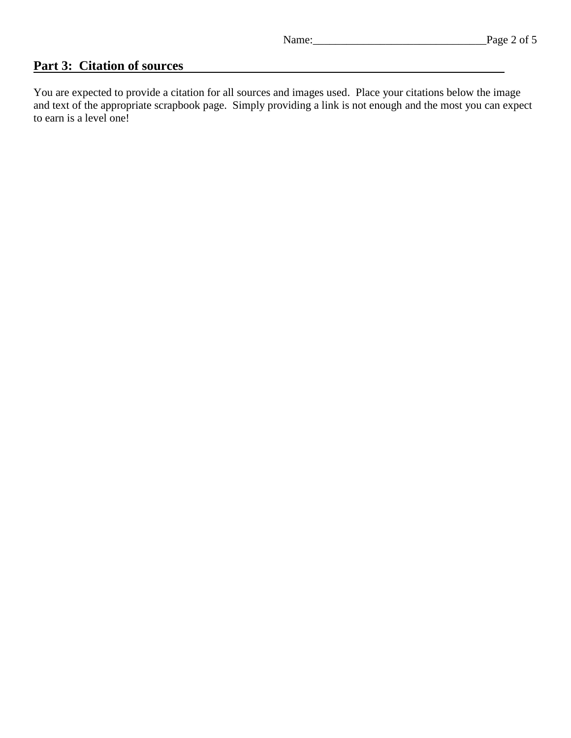#### **Part 3: Citation of sources**

You are expected to provide a citation for all sources and images used. Place your citations below the image and text of the appropriate scrapbook page. Simply providing a link is not enough and the most you can expect to earn is a level one!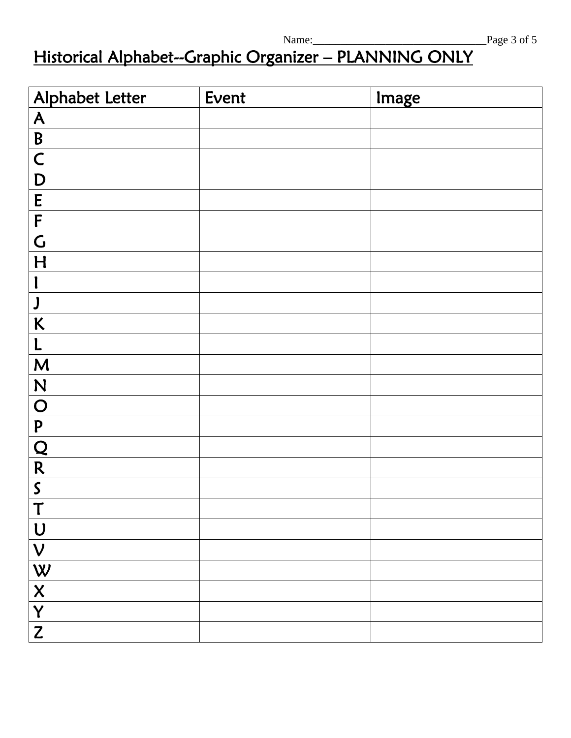# Historical Alphabet--Graphic Organizer – PLANNING ONLY

| Alphabet Letter                                                                                               | Event | Image |
|---------------------------------------------------------------------------------------------------------------|-------|-------|
| $\underline{\mathsf{A}}$                                                                                      |       |       |
| $\overline{B}$                                                                                                |       |       |
| $\overline{\mathsf{C}}$                                                                                       |       |       |
| D                                                                                                             |       |       |
| E                                                                                                             |       |       |
| $\pmb{\mathsf{F}}$                                                                                            |       |       |
| $\overline{G}$                                                                                                |       |       |
| H                                                                                                             |       |       |
|                                                                                                               |       |       |
| J                                                                                                             |       |       |
| $\kappa$                                                                                                      |       |       |
| L                                                                                                             |       |       |
| M                                                                                                             |       |       |
| N                                                                                                             |       |       |
| $\overline{O}$                                                                                                |       |       |
| ${\bf P}$                                                                                                     |       |       |
| $\frac{Q}{R}$                                                                                                 |       |       |
|                                                                                                               |       |       |
| $\mathsf S$                                                                                                   |       |       |
| $\rightarrow$                                                                                                 |       |       |
| $\bigcup$                                                                                                     |       |       |
| $\boldsymbol{\mathsf{V}}$                                                                                     |       |       |
| W                                                                                                             |       |       |
| $\boldsymbol{\mathsf{X}}$                                                                                     |       |       |
| Y                                                                                                             |       |       |
| $\mathsf{Z}% _{M_{1},M_{2}}^{\alpha,\beta}(\varepsilon)=\mathsf{Z}_{M_{1},M_{2}}^{\alpha,\beta}(\varepsilon)$ |       |       |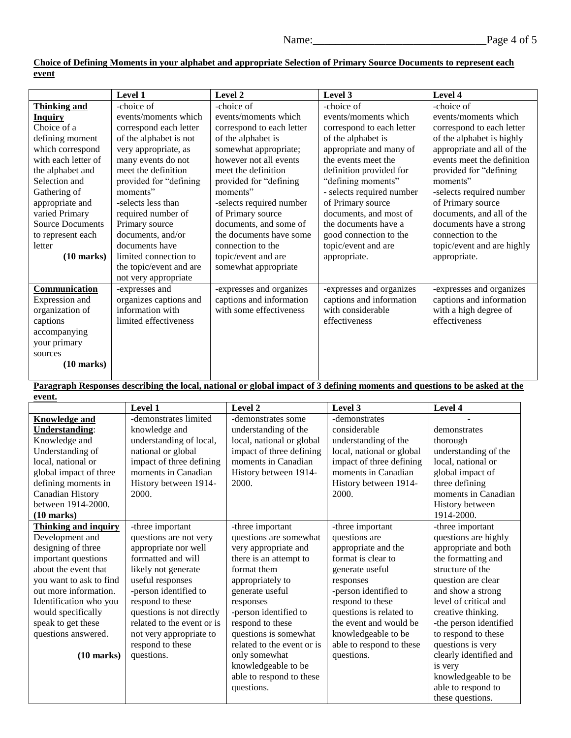|                         | Level 1                 | Level 2                   | Level 3                   | Level 4                    |
|-------------------------|-------------------------|---------------------------|---------------------------|----------------------------|
| <b>Thinking and</b>     | -choice of              | -choice of                | -choice of                | -choice of                 |
| <b>Inquiry</b>          | events/moments which    | events/moments which      | events/moments which      | events/moments which       |
| Choice of a             | correspond each letter  | correspond to each letter | correspond to each letter | correspond to each letter  |
| defining moment         | of the alphabet is not  | of the alphabet is        | of the alphabet is        | of the alphabet is highly  |
| which correspond        | very appropriate, as    | somewhat appropriate;     | appropriate and many of   | appropriate and all of the |
| with each letter of     | many events do not      | however not all events    | the events meet the       | events meet the definition |
| the alphabet and        | meet the definition     | meet the definition       | definition provided for   | provided for "defining     |
| Selection and           | provided for "defining" | provided for "defining    | "defining moments"        | moments"                   |
| Gathering of            | moments"                | moments"                  | - selects required number | -selects required number   |
| appropriate and         | -selects less than      | -selects required number  | of Primary source         | of Primary source          |
| varied Primary          | required number of      | of Primary source         | documents, and most of    | documents, and all of the  |
| <b>Source Documents</b> | Primary source          | documents, and some of    | the documents have a      | documents have a strong    |
| to represent each       | documents, and/or       | the documents have some   | good connection to the    | connection to the          |
| letter                  | documents have          | connection to the         | topic/event and are       | topic/event and are highly |
| $(10 \text{ marks})$    | limited connection to   | topic/event and are       | appropriate.              | appropriate.               |
|                         | the topic/event and are | somewhat appropriate      |                           |                            |
|                         | not very appropriate    |                           |                           |                            |
| Communication           | -expresses and          | -expresses and organizes  | -expresses and organizes  | -expresses and organizes   |
| Expression and          | organizes captions and  | captions and information  | captions and information  | captions and information   |
| organization of         | information with        | with some effectiveness   | with considerable         | with a high degree of      |
| captions                | limited effectiveness   |                           | effectiveness             | effectiveness              |
| accompanying            |                         |                           |                           |                            |
| your primary            |                         |                           |                           |                            |
| sources                 |                         |                           |                           |                            |
| $(10 \text{ marks})$    |                         |                           |                           |                            |
|                         |                         |                           |                           |                            |

**Choice of Defining Moments in your alphabet and appropriate Selection of Primary Source Documents to represent each event**

**Paragraph Responses describing the local, national or global impact of 3 defining moments and questions to be asked at the event.** 

|                             | Level 1                    | Level 2                    | Level 3                   | Level 4                |
|-----------------------------|----------------------------|----------------------------|---------------------------|------------------------|
| <b>Knowledge and</b>        | -demonstrates limited      | -demonstrates some         | -demonstrates             |                        |
| <b>Understanding:</b>       | knowledge and              | understanding of the       | considerable              | demonstrates           |
| Knowledge and               | understanding of local,    | local, national or global  | understanding of the      | thorough               |
| Understanding of            | national or global         | impact of three defining   | local, national or global | understanding of the   |
| local, national or          | impact of three defining   | moments in Canadian        | impact of three defining  | local, national or     |
| global impact of three      | moments in Canadian        | History between 1914-      | moments in Canadian       | global impact of       |
| defining moments in         | History between 1914-      | 2000.                      | History between 1914-     | three defining         |
| Canadian History            | 2000.                      |                            | 2000.                     | moments in Canadian    |
| between 1914-2000.          |                            |                            |                           | History between        |
| $(10 \text{ marks})$        |                            |                            |                           | 1914-2000.             |
| <b>Thinking and inquiry</b> | -three important           | -three important           | -three important          | -three important       |
| Development and             | questions are not very     | questions are somewhat     | questions are             | questions are highly   |
| designing of three          | appropriate nor well       | very appropriate and       | appropriate and the       | appropriate and both   |
| important questions         | formatted and will         | there is an attempt to     | format is clear to        | the formatting and     |
| about the event that        | likely not generate        | format them                | generate useful           | structure of the       |
| you want to ask to find     | useful responses           | appropriately to           | responses                 | question are clear     |
| out more information.       | -person identified to      | generate useful            | -person identified to     | and show a strong      |
| Identification who you      | respond to these           | responses                  | respond to these          | level of critical and  |
| would specifically          | questions is not directly  | -person identified to      | questions is related to   | creative thinking.     |
| speak to get these          | related to the event or is | respond to these           | the event and would be    | -the person identified |
| questions answered.         | not very appropriate to    | questions is somewhat      | knowledgeable to be       | to respond to these    |
|                             | respond to these           | related to the event or is | able to respond to these  | questions is very      |
| $(10 \text{ marks})$        | questions.                 | only somewhat              | questions.                | clearly identified and |
|                             |                            | knowledgeable to be        |                           | is very                |
|                             |                            | able to respond to these   |                           | knowledgeable to be    |
|                             |                            | questions.                 |                           | able to respond to     |
|                             |                            |                            |                           | these questions.       |